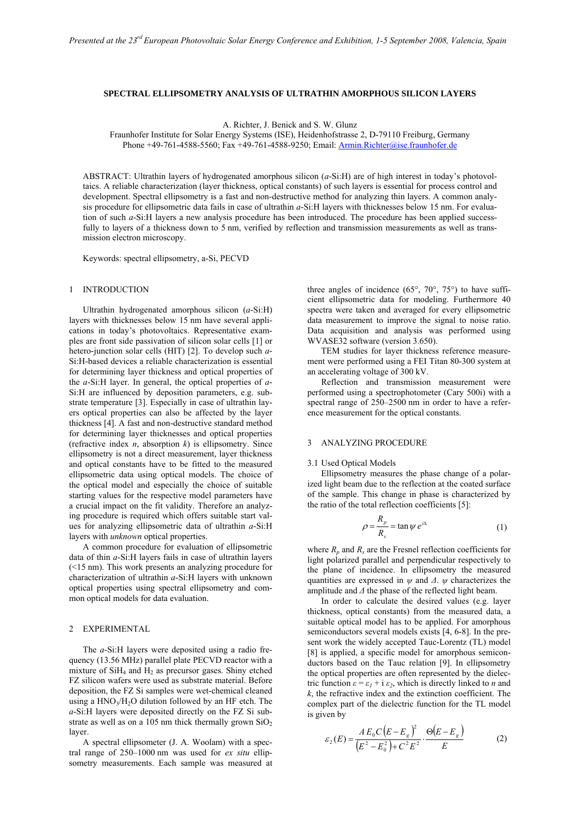## **SPECTRAL ELLIPSOMETRY ANALYSIS OF ULTRATHIN AMORPHOUS SILICON LAYERS**

A. Richter, J. Benick and S. W. Glunz

Fraunhofer Institute for Solar Energy Systems (ISE), Heidenhofstrasse 2, D-79110 Freiburg, Germany Phone +49-761-4588-5560; Fax +49-761-4588-9250; Email: Armin.Richter@ise.fraunhofer.de

ABSTRACT: Ultrathin layers of hydrogenated amorphous silicon (*a*-Si:H) are of high interest in today's photovoltaics. A reliable characterization (layer thickness, optical constants) of such layers is essential for process control and development. Spectral ellipsometry is a fast and non-destructive method for analyzing thin layers. A common analysis procedure for ellipsometric data fails in case of ultrathin *a*-Si:H layers with thicknesses below 15 nm. For evaluation of such *a*-Si:H layers a new analysis procedure has been introduced. The procedure has been applied successfully to layers of a thickness down to 5 nm, verified by reflection and transmission measurements as well as transmission electron microscopy.

Keywords: spectral ellipsometry, a-Si, PECVD

#### 1 INTRODUCTION

Ultrathin hydrogenated amorphous silicon (*a*-Si:H) layers with thicknesses below 15 nm have several applications in today's photovoltaics. Representative examples are front side passivation of silicon solar cells [1] or hetero-junction solar cells (HIT) [2]. To develop such *a*-Si:H-based devices a reliable characterization is essential for determining layer thickness and optical properties of the *a*-Si:H layer. In general, the optical properties of *a*-Si:H are influenced by deposition parameters, e.g. substrate temperature [3]. Especially in case of ultrathin layers optical properties can also be affected by the layer thickness [4]. A fast and non-destructive standard method for determining layer thicknesses and optical properties (refractive index *n*, absorption *k*) is ellipsometry. Since ellipsometry is not a direct measurement, layer thickness and optical constants have to be fitted to the measured ellipsometric data using optical models. The choice of the optical model and especially the choice of suitable starting values for the respective model parameters have a crucial impact on the fit validity. Therefore an analyzing procedure is required which offers suitable start values for analyzing ellipsometric data of ultrathin *a*-Si:H layers with *unknown* optical properties.

A common procedure for evaluation of ellipsometric data of thin *a*-Si:H layers fails in case of ultrathin layers (<15 nm). This work presents an analyzing procedure for characterization of ultrathin *a*-Si:H layers with unknown optical properties using spectral ellipsometry and common optical models for data evaluation.

## 2 EXPERIMENTAL

 The *a*-Si:H layers were deposited using a radio frequency (13.56 MHz) parallel plate PECVD reactor with a mixture of  $SiH<sub>4</sub>$  and  $H<sub>2</sub>$  as precursor gases. Shiny etched FZ silicon wafers were used as substrate material. Before deposition, the FZ Si samples were wet-chemical cleaned using a  $HNO<sub>3</sub>/H<sub>2</sub>O$  dilution followed by an HF etch. The *a*-Si:H layers were deposited directly on the FZ Si substrate as well as on a 105 nm thick thermally grown  $SiO<sub>2</sub>$ layer.

 A spectral ellipsometer (J. A. Woolam) with a spectral range of 250–1000 nm was used for *ex situ* ellipsometry measurements. Each sample was measured at three angles of incidence  $(65^{\circ}, 70^{\circ}, 75^{\circ})$  to have sufficient ellipsometric data for modeling. Furthermore 40 spectra were taken and averaged for every ellipsometric data measurement to improve the signal to noise ratio. Data acquisition and analysis was performed using WVASE32 software (version 3.650).

TEM studies for layer thickness reference measurement were performed using a FEI Titan 80-300 system at an accelerating voltage of 300 kV.

Reflection and transmission measurement were performed using a spectrophotometer (Cary 500i) with a spectral range of 250–2500 nm in order to have a reference measurement for the optical constants.

## 3 ANALYZING PROCEDURE

## 3.1 Used Optical Models

 Ellipsometry measures the phase change of a polarized light beam due to the reflection at the coated surface of the sample. This change in phase is characterized by the ratio of the total reflection coefficients [5]:

$$
\rho = \frac{R_p}{R_s} = \tan \psi \, e^{i\Delta} \tag{1}
$$

where  $R_p$  and  $R_s$  are the Fresnel reflection coefficients for light polarized parallel and perpendicular respectively to the plane of incidence. In ellipsometry the measured quantities are expressed in *ψ* and *Δ*. *ψ* characterizes the amplitude and *Δ* the phase of the reflected light beam.

In order to calculate the desired values (e.g. layer thickness, optical constants) from the measured data, a suitable optical model has to be applied. For amorphous semiconductors several models exists [4, 6-8]. In the present work the widely accepted Tauc-Lorentz (TL) model [8] is applied, a specific model for amorphous semiconductors based on the Tauc relation [9]. In ellipsometry the optical properties are often represented by the dielectric function  $\varepsilon = \varepsilon_1 + i \varepsilon_2$ , which is directly linked to *n* and *k*, the refractive index and the extinction coefficient. The complex part of the dielectric function for the TL model is given by

$$
\varepsilon_2(E) = \frac{A E_0 C (E - E_g)^2}{(E^2 - E_0^2) + C^2 E^2} \cdot \frac{\Theta(E - E_g)}{E}
$$
 (2)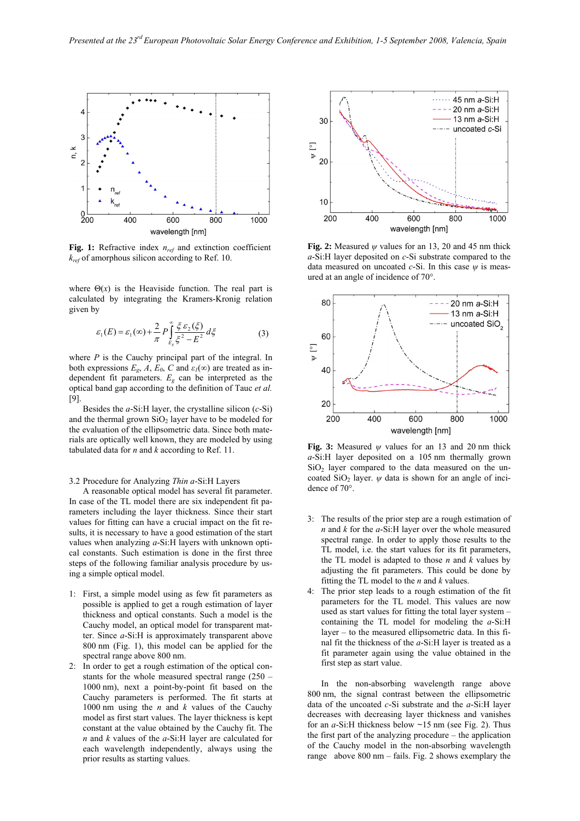

Fig. 1: Refractive index  $n_{ref}$  and extinction coefficient *kref* of amorphous silicon according to Ref. 10.

where  $\Theta(x)$  is the Heaviside function. The real part is calculated by integrating the Kramers-Kronig relation given by

$$
\varepsilon_1(E) = \varepsilon_1(\infty) + \frac{2}{\pi} P \int_{E_g}^{\infty} \frac{\xi \varepsilon_2(\xi)}{\xi^2 - E^2} d\xi \tag{3}
$$

where *P* is the Cauchy principal part of the integral. In both expressions  $E_g$ ,  $A$ ,  $E_\theta$ ,  $C$  and  $\varepsilon_I(\infty)$  are treated as independent fit parameters. *Eg* can be interpreted as the optical band gap according to the definition of Tauc *et al.* [9].

Besides the *a*-Si:H layer, the crystalline silicon (*c*-Si) and the thermal grown  $SiO<sub>2</sub>$  layer have to be modeled for the evaluation of the ellipsometric data. Since both materials are optically well known, they are modeled by using tabulated data for *n* and *k* according to Ref. 11.

## 3.2 Procedure for Analyzing *Thin a*-Si:H Layers

A reasonable optical model has several fit parameter. In case of the TL model there are six independent fit parameters including the layer thickness. Since their start values for fitting can have a crucial impact on the fit results, it is necessary to have a good estimation of the start values when analyzing *a*-Si:H layers with unknown optical constants. Such estimation is done in the first three steps of the following familiar analysis procedure by using a simple optical model.

- 1: First, a simple model using as few fit parameters as possible is applied to get a rough estimation of layer thickness and optical constants. Such a model is the Cauchy model, an optical model for transparent matter. Since *a*-Si:H is approximately transparent above 800 nm (Fig. 1), this model can be applied for the spectral range above 800 nm.
- 2: In order to get a rough estimation of the optical constants for the whole measured spectral range (250 – 1000 nm), next a point-by-point fit based on the Cauchy parameters is performed. The fit starts at 1000 nm using the *n* and *k* values of the Cauchy model as first start values. The layer thickness is kept constant at the value obtained by the Cauchy fit. The *n* and *k* values of the *a*-Si:H layer are calculated for each wavelength independently, always using the prior results as starting values.



**Fig. 2:** Measured *ψ* values for an 13, 20 and 45 nm thick *a*-Si:H layer deposited on *c*-Si substrate compared to the data measured on uncoated *c*-Si. In this case *ψ* is measured at an angle of incidence of 70°.



**Fig. 3:** Measured *ψ* values for an 13 and 20 nm thick *a*-Si:H layer deposited on a 105 nm thermally grown  $SiO<sub>2</sub>$  layer compared to the data measured on the uncoated SiO<sub>2</sub> layer.  $\psi$  data is shown for an angle of incidence of 70°.

- 3: The results of the prior step are a rough estimation of *n* and *k* for the *a*-Si:H layer over the whole measured spectral range. In order to apply those results to the TL model, i.e. the start values for its fit parameters, the TL model is adapted to those *n* and *k* values by adjusting the fit parameters. This could be done by fitting the TL model to the *n* and *k* values.
- 4: The prior step leads to a rough estimation of the fit parameters for the TL model. This values are now used as start values for fitting the total layer system – containing the TL model for modeling the *a*-Si:H layer – to the measured ellipsometric data. In this final fit the thickness of the *a*-Si:H layer is treated as a fit parameter again using the value obtained in the first step as start value.

 In the non-absorbing wavelength range above 800 nm, the signal contrast between the ellipsometric data of the uncoated *c*-Si substrate and the *a*-Si:H layer decreases with decreasing layer thickness and vanishes for an *a*-Si:H thickness below ~15 nm (see Fig. 2). Thus the first part of the analyzing procedure – the application of the Cauchy model in the non-absorbing wavelength range above 800 nm – fails. Fig. 2 shows exemplary the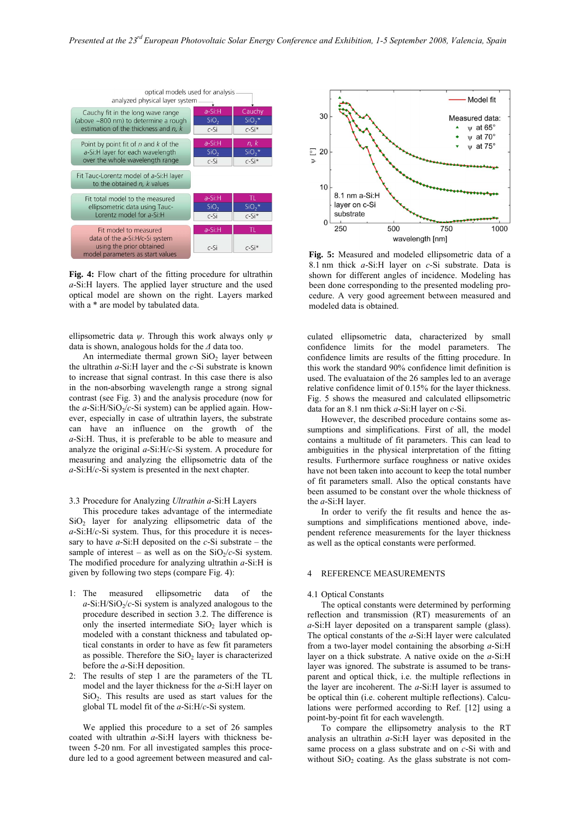

**Fig. 4:** Flow chart of the fitting procedure for ultrathin *a*-Si:H layers. The applied layer structure and the used optical model are shown on the right. Layers marked with a \* are model by tabulated data.

ellipsometric data *ψ*. Through this work always only *ψ* data is shown, analogous holds for the *Δ* data too.

An intermediate thermal grown  $SiO<sub>2</sub>$  layer between the ultrathin *a*-Si:H layer and the *c*-Si substrate is known to increase that signal contrast. In this case there is also in the non-absorbing wavelength range a strong signal contrast (see Fig. 3) and the analysis procedure (now for the  $a$ -Si:H/SiO<sub>2</sub>/ $c$ -Si system) can be applied again. However, especially in case of ultrathin layers, the substrate can have an influence on the growth of the *a*-Si:H. Thus, it is preferable to be able to measure and analyze the original *a*-Si:H/*c*-Si system. A procedure for measuring and analyzing the ellipsometric data of the *a*-Si:H/*c*-Si system is presented in the next chapter.

## 3.3 Procedure for Analyzing *Ultrathin a*-Si:H Layers

 This procedure takes advantage of the intermediate  $SiO<sub>2</sub>$  layer for analyzing ellipsometric data of the *a*-Si:H/*c*-Si system. Thus, for this procedure it is necessary to have *a*-Si:H deposited on the *c*-Si substrate – the sample of interest – as well as on the  $SiO<sub>2</sub>/c-Si$  system. The modified procedure for analyzing ultrathin *a*-Si:H is given by following two steps (compare Fig. 4):

- 1: The measured ellipsometric data of the  $a-Si:H/SiO<sub>2</sub>/c-Si$  system is analyzed analogous to the procedure described in section 3.2. The difference is only the inserted intermediate  $SiO<sub>2</sub>$  layer which is modeled with a constant thickness and tabulated optical constants in order to have as few fit parameters as possible. Therefore the  $SiO<sub>2</sub>$  layer is characterized before the *a*-Si:H deposition.
- 2: The results of step 1 are the parameters of the TL model and the layer thickness for the *a*-Si:H layer on  $SiO<sub>2</sub>$ . This results are used as start values for the global TL model fit of the *a*-Si:H/*c*-Si system.

 We applied this procedure to a set of 26 samples coated with ultrathin *a*-Si:H layers with thickness between 5-20 nm. For all investigated samples this procedure led to a good agreement between measured and cal-



**Fig. 5:** Measured and modeled ellipsometric data of a 8.1 nm thick *a*-Si:H layer on *c*-Si substrate. Data is shown for different angles of incidence. Modeling has been done corresponding to the presented modeling procedure. A very good agreement between measured and modeled data is obtained.

culated ellipsometric data, characterized by small confidence limits for the model parameters. The confidence limits are results of the fitting procedure. In this work the standard 90% confidence limit definition is used. The evaluataion of the 26 samples led to an average relative confidence limit of 0.15% for the layer thickness. Fig. 5 shows the measured and calculated ellipsometric data for an 8.1 nm thick *a*-Si:H layer on *c*-Si.

 However, the described procedure contains some assumptions and simplifications. First of all, the model contains a multitude of fit parameters. This can lead to ambiguities in the physical interpretation of the fitting results. Furthermore surface roughness or native oxides have not been taken into account to keep the total number of fit parameters small. Also the optical constants have been assumed to be constant over the whole thickness of the *a*-Si:H layer.

 In order to verify the fit results and hence the assumptions and simplifications mentioned above, independent reference measurements for the layer thickness as well as the optical constants were performed.

## 4 REFERENCE MEASUREMENTS

#### 4.1 Optical Constants

 The optical constants were determined by performing reflection and transmission (RT) measurements of an *a*-Si:H layer deposited on a transparent sample (glass). The optical constants of the *a*-Si:H layer were calculated from a two-layer model containing the absorbing *a*-Si:H layer on a thick substrate. A native oxide on the *a*-Si:H layer was ignored. The substrate is assumed to be transparent and optical thick, i.e. the multiple reflections in the layer are incoherent. The *a*-Si:H layer is assumed to be optical thin (i.e. coherent multiple reflections). Calculations were performed according to Ref. [12] using a point-by-point fit for each wavelength.

To compare the ellipsometry analysis to the RT analysis an ultrathin *a*-Si:H layer was deposited in the same process on a glass substrate and on *c*-Si with and without  $SiO<sub>2</sub>$  coating. As the glass substrate is not com-